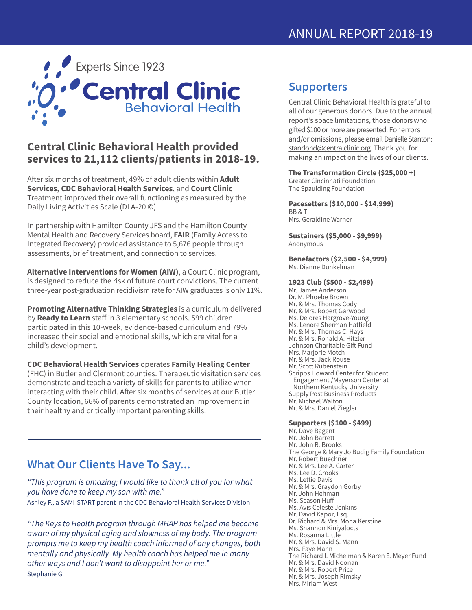

### **Central Clinic Behavioral Health provided services to 21,112 clients/patients in 2018-19.**

After six months of treatment, 49% of adult clients within **Adult Services, CDC Behavioral Health Services**, and **Court Clinic** Treatment improved their overall functioning as measured by the Daily Living Activities Scale (DLA-20 ©).

In partnership with Hamilton County JFS and the Hamilton County Mental Health and Recovery Services board, **FAIR** (Family Access to Integrated Recovery) provided assistance to 5,676 people through assessments, brief treatment, and connection to services.

**Alternative Interventions for Women (AIW)**, a Court Clinic program, is designed to reduce the risk of future court convictions. The current three-year post-graduation recidivism rate for AIW graduates is only 11%.

**Promoting Alternative Thinking Strategies** is a curriculum delivered by Ready to Learn staff in 3 elementary schools. 599 children participated in this 10-week, evidence-based curriculum and 79% increased their social and emotional skills, which are vital for a child's development.

**CDC Behavioral Health Services** operates **Family Healing Center**  (FHC) in Butler and Clermont counties. Therapeutic visitation services demonstrate and teach a variety of skills for parents to utilize when interacting with their child. After six months of services at our Butler County location, 66% of parents demonstrated an improvement in their healthy and critically important parenting skills.

## **What Our Clients Have To Say...**

*"This program is amazing; I would like to thank all of you for what you have done to keep my son with me."* Ashley F., a SAMI-START parent in the CDC Behavioral Health Services Division

*"The Keys to Health program through MHAP has helped me become aware of my physical aging and slowness of my body. The program prompts me to keep my health coach informed of any changes, both mentally and physically. My health coach has helped me in many other ways and I don't want to disappoint her or me."* Stephanie G.

## **Supporters**

Central Clinic Behavioral Health is grateful to all of our generous donors. Due to the annual report's space limitations, those donors who gifted \$100 or more are presented. For errors and/or omissions, please email Danielle Stanton: standond@centralclinic.org. Thank you for making an impact on the lives of our clients.

#### **The Transformation Circle (\$25,000 +)** Greater Cincinnati Foundation The Spaulding Foundation

**Pacesetters (\$10,000 - \$14,999)** BB & T

Mrs. Geraldine Warner

**Sustainers (\$5,000 - \$9,999)** Anonymous

**Benefactors (\$2,500 - \$4,999)** Ms. Dianne Dunkelman

#### **1923 Club (\$500 - \$2,499)**

Mr. James Anderson Dr. M. Phoebe Brown Mr. & Mrs. Thomas Cody Mr. & Mrs. Robert Garwood Ms. Delores Hargrove-Young Ms. Lenore Sherman Hatfield Mr. & Mrs. Thomas C. Hays Mr. & Mrs. Ronald A. Hitzler Johnson Charitable Gift Fund Mrs. Marjorie Motch Mr. & Mrs. Jack Rouse Mr. Scott Rubenstein Scripps Howard Center for Student Engagement /Mayerson Center at Northern Kentucky University Supply Post Business Products Mr. Michael Walton Mr. & Mrs. Daniel Ziegler

#### **Supporters (\$100 - \$499)**

Mr. Dave Bagent Mr. John Barrett Mr. John R. Brooks The George & Mary Jo Budig Family Foundation Mr. Robert Buechner Mr. & Mrs. Lee A. Carter Ms. Lee D. Crooks Ms. Lettie Davis Mr. & Mrs. Graydon Gorby Mr. John Hehman Ms. Season Hu Ms. Avis Celeste Jenkins Mr. David Kapor, Esq. Dr. Richard & Mrs. Mona Kerstine Ms. Shannon Kiniyalocts Ms. Rosanna Little Mr. & Mrs. David S. Mann Mrs. Faye Mann The Richard I. Michelman & Karen E. Meyer Fund Mr. & Mrs. David Noonan Mr. & Mrs. Robert Price Mr. & Mrs. Joseph Rimsky Mrs. Miriam West